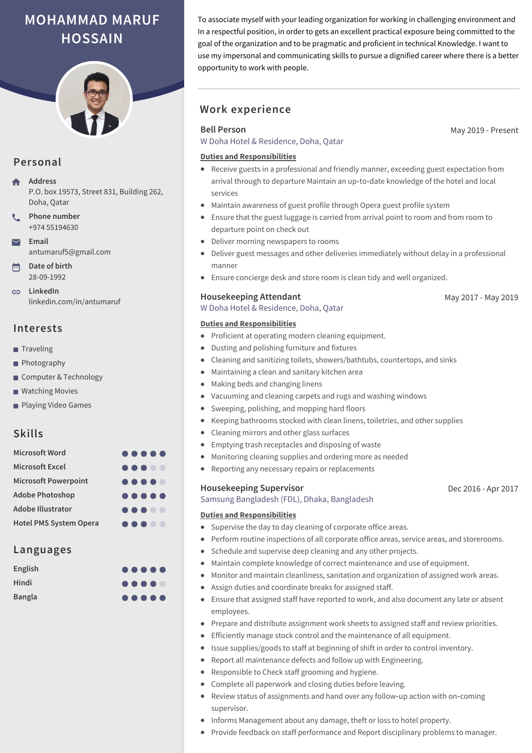# **MOHAMMAD MARUF HOSSAIN**



# **Personal**

**Address** P.O. box 19573, Street 831, Building 262, Doha, Qatar

- **Phone number** +974 55194630
- **Email** antumaruf5@gmail.com
- **Date of birth** 28-09-1992

**LinkedIn** linkedin.com/in/antumaruf

# **Interests**

- Traveling
- **Photography**
- Computer & Technology
- **Watching Movies**
- **Playing Video Games**

# **Skills**

| <b>Microsoft Word</b>         |                                                                                                                    |  |  |
|-------------------------------|--------------------------------------------------------------------------------------------------------------------|--|--|
| <b>Microsoft Excel</b>        |                                                                                                                    |  |  |
| <b>Microsoft Powerpoint</b>   | $\begin{array}{ccccccccccccccccc} \bullet & \bullet & \bullet & \bullet & \bullet & \bullet & \bullet \end{array}$ |  |  |
| <b>Adobe Photoshop</b>        | $\begin{array}{ccccccccccccccccc} \bullet & \bullet & \bullet & \bullet & \bullet & \bullet & \bullet \end{array}$ |  |  |
| <b>Adobe Illustrator</b>      |                                                                                                                    |  |  |
| <b>Hotel PMS System Opera</b> | $\bullet\bullet\bullet\bullet\bullet$                                                                              |  |  |

# **Languages**

| English       |                                                                                                                    |  |  |
|---------------|--------------------------------------------------------------------------------------------------------------------|--|--|
| <b>Hindi</b>  |                                                                                                                    |  |  |
| <b>Bangla</b> | $\begin{array}{ccccccccccccccccc} \bullet & \bullet & \bullet & \bullet & \bullet & \bullet & \bullet \end{array}$ |  |  |

To associate myself with your leading organization for working in challenging environment and In a respectful position, in order to gets an excellent practical exposure being committed to the goal of the organization and to be pragmatic and proficient in technical Knowledge. I want to use my impersonal and communicating skills to pursue a dignified career where there is a better opportunity to work with people.

# **Work experience**

### **Bell Person**

W Doha Hotel & Residence, Doha, Qatar

#### **Duties and Responsibilities**

- Receive guests in a professional and friendly manner, exceeding guest expectation from arrival through to departure Maintain an up‑to‑date knowledge of the hotel and local services
- Maintain awareness of guest profile through Opera guest profile system
- Ensure that the guest luggage is carried from arrival point to room and from room to departure point on check out
- Deliver morning newspapers to rooms
- Deliver guest messages and other deliveries immediately without delay in a professional manner
- Ensure concierge desk and store room is clean tidy and well organized.

#### **Housekeeping Attendant**

W Doha Hotel & Residence, Doha, Qatar

#### **Duties and Responsibilities**

- Proficient at operating modern cleaning equipment.
- Dusting and polishing furniture and fixtures
- Cleaning and sanitizing toilets, showers/bathtubs, countertops, and sinks
- Maintaining a clean and sanitary kitchen area  $\bullet$
- Making beds and changing linens
- Vacuuming and cleaning carpets and rugs and washing windows
- Sweeping, polishing, and mopping hard floors  $\bullet$
- Keeping bathrooms stocked with clean linens, toiletries, and other supplies
- Cleaning mirrors and other glass surfaces
- Emptying trash receptacles and disposing of waste
- Monitoring cleaning supplies and ordering more as needed
- Reporting any necessary repairs or replacements

#### **Housekeeping Supervisor**

Samsung Bangladesh (FDL), Dhaka, Bangladesh

#### **Duties and Responsibilities**

- Supervise the day to day cleaning of corporate office areas.
- Perform routine inspections of all corporate office areas, service areas, and storerooms.
- Schedule and supervise deep cleaning and any other projects.
- Maintain complete knowledge of correct maintenance and use of equipment.  $\bullet$
- Monitor and maintain cleanliness, sanitation and organization of assigned work areas.  $\bullet$
- Assign duties and coordinate breaks for assigned staff.
- Ensure that assigned staff have reported to work, and also document any late or absent employees.
- Prepare and distribute assignment work sheets to assigned staff and review priorities.
- Efficiently manage stock control and the maintenance of all equipment.
- Issue supplies/goods to staff at beginning of shift in order to control inventory.
- Report all maintenance defects and follow up with Engineering.
- Responsible to Check staff grooming and hygiene.
- Complete all paperwork and closing duties before leaving.
- Review status of assignments and hand over any follow-up action with on-coming supervisor.
- Informs Management about any damage, theft or loss to hotel property.
- Provide feedback on staff performance and Report disciplinary problems to manager.

Dec 2016 - Apr 2017

May 2019 - Present

May 2017 - May 2019